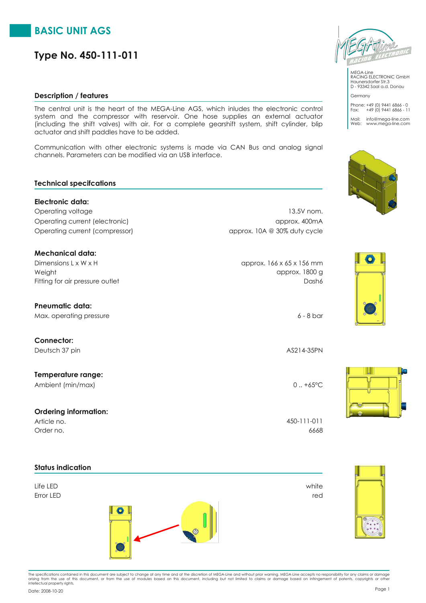### **BASIC UNIT AGS**

### **Type No. 450-111-011**

### **Description / features**

The central unit is the heart of the MEGA-Line AGS, which inludes the electronic control system and the compressor with reservoir. One hose supplies an external actuator (including the shift valves) with air. For a complete gearshift system, shift cylinder, blip actuator and shift paddles have to be added.

Communication with other electronic systems is made via CAN Bus and analog signal channels. Parameters can be modified via an USB interface.

### **Technical specifcations**

**Electronic data:** Operating voltage 13.5V nom. Operating current (electronic) approx. 400mA Operating current (compressor) and approx. 10A @ 30% duty cycle

### **Mechanical data:**

 $D$ imensions L x W x H  $\alpha$  by  $D$  approx. 166 x 65 x 156 mm Fitting for air pressure outlet **Dash6** Dash6 Weight approx. 1800 g

### **Pneumatic data:**

Max. operating pressure 6 - 8 bar

**Connector:** Deutsch 37 pin AS214-35PN

**Temperature range:** Ambient (min/max) 0 ... +65°C

### **Ordering information:**

Order no. 6668 Article no. 450-111-011

**Status indication**

# Error LED red Life LED white



MEGA-Line RACING ELECTRONIC GmbH Haunersdorfer Str.3 D - 93342 Saal a.d. Donau Germany

Phone: +49 (0) 9441 6866 - 0 Fax: +49 (0) 9441 6866 - 11 Mail: info@mega-line.com Web: www.mega-line.com









The specifications contained in this document are subject to change at any time and at the discretion of MEGA-Line and without prior warning. MEGA-Line accepts no responsibility for any claims or damage<br>arising from the us

Page <sup>1</sup> Date: 2008-10-20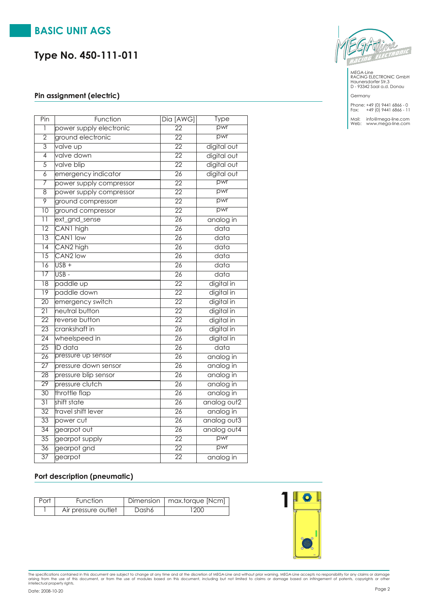### **BASIC UNIT AGS**

### **Type No. 450-111-011**

### **Pin assignment (electric)**

| Pin             | Function                | Dia [AWG]       | <b>Type</b>       |
|-----------------|-------------------------|-----------------|-------------------|
| ī               | power supply electronic | $\overline{22}$ | pwr               |
| $\overline{2}$  | ground electronic       | $\overline{22}$ | pwr               |
| $\overline{3}$  | valve up                | $\overline{22}$ | digital out       |
| $\overline{4}$  | valve down              | $\overline{22}$ | digital out       |
| $\overline{5}$  | valve blip              | $\overline{22}$ | digital out       |
| $\overline{6}$  | emergency indicator     | $\overline{26}$ | digital out       |
| 7               | power supply compressor | $\overline{22}$ | pwr               |
| $\overline{8}$  | power supply compressor | $\overline{22}$ | pwr               |
| 9               | ground compressorr      | $\overline{22}$ | pwr               |
| $\overline{10}$ | ground compressor       | $\overline{22}$ | pwr               |
| $\overline{11}$ | ext_gnd_sense           | $\overline{26}$ | analog in         |
| $\overline{12}$ | CAN1 high               | $\overline{26}$ | $\overline{data}$ |
| $\overline{13}$ | CAN1 low                | $\overline{26}$ | data              |
| $\overline{14}$ | CAN2 high               | $\overline{26}$ | data              |
| $\overline{15}$ | CAN <sub>2</sub> low    | $\overline{26}$ | $\overline{data}$ |
| $\overline{16}$ | $USB +$                 | $\overline{26}$ | data              |
| $\overline{17}$ | USB-                    | $\overline{26}$ | $\overline{data}$ |
| $\overline{18}$ | paddle up               | $\overline{22}$ | digital in        |
| $\overline{19}$ | paddle down             | $\overline{22}$ | digital in        |
| $\overline{20}$ | emergency switch        | $\overline{22}$ | digital in        |
| $\overline{21}$ | neutral button          | $\overline{22}$ | digital in        |
| $\overline{22}$ | reverse button          | $\overline{22}$ | digital in        |
| $\overline{23}$ | crankshaft in           | $\overline{26}$ | digital in        |
| $\overline{24}$ | wheelspeed in           | $\overline{26}$ | digital in        |
| $\overline{25}$ | <b>ID</b> data          | $\overline{26}$ | data              |
| $\overline{26}$ | pressure up sensor      | $\overline{26}$ | analog in         |
| $\overline{27}$ | pressure down sensor    | $\overline{26}$ | analog in         |
| 28              | pressure blip sensor    | $\overline{26}$ | analog in         |
| 29              | pressure clutch         | 26              | analog in         |
| 30              | throttle flap           | $\overline{26}$ | analog in         |
| $\overline{31}$ | shift state             | $\overline{26}$ | analog out2       |
| $\overline{32}$ | travel shift lever      | $\overline{26}$ | analog in         |
| 33              | power cut               | $\overline{26}$ | analog out3       |
| $\overline{34}$ | gearpot out             | $\overline{26}$ | analog out4       |
| $\overline{35}$ | gearpot supply          | $\overline{22}$ | pwr               |
| $\overline{36}$ | gearpot gnd             | $\overline{22}$ | pwr               |
| $\overline{37}$ | gearpot                 | $\overline{22}$ | analog in         |

MEGA-Line RACING ELECTRONIC GmbH Haunersdorfer Str.3 D - 93342 Saal a.d. Donau

#### Germany

Phone: +49 (0) 9441 6866 - 0 Fax: +49 (0) 9441 6866 - 11

Mail: info@mega-line.com Web: www.mega-line.com

### **Port description (pneumatic)**

| Port | <b>Function</b>     |       | Dimension   max.torque [Ncm] |
|------|---------------------|-------|------------------------------|
|      | Air pressure outlet | Dash6 | ' 20C                        |



The specifications contained in this document are subject to change at any time and at the discretion of MEGA-Line and without prior warning. MEGA-Line accepts no responsibility for any claims or damage<br>arising from the us Page <sup>2</sup> Date: 2008-10-20